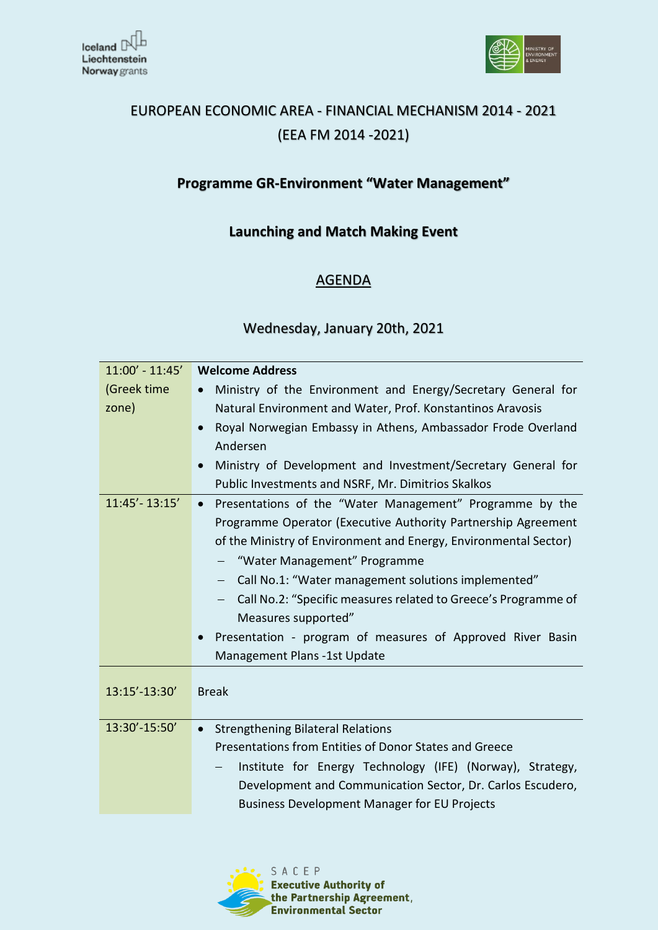



# EUROPEAN ECONOMIC AREA - FINANCIAL MECHANISM 2014 - 2021 (EEA FM 2014 -2021)

## **Programme GR-Environment "Water Management"**

### **Launching and Match Making Event**

### AGENDA

#### Wednesday, January 20th, 2021

| $11:00' - 11:45'$ | <b>Welcome Address</b>                                                |
|-------------------|-----------------------------------------------------------------------|
| (Greek time       | Ministry of the Environment and Energy/Secretary General for          |
| zone)             | Natural Environment and Water, Prof. Konstantinos Aravosis            |
|                   | Royal Norwegian Embassy in Athens, Ambassador Frode Overland          |
|                   |                                                                       |
|                   | Andersen                                                              |
|                   | Ministry of Development and Investment/Secretary General for          |
|                   | Public Investments and NSRF, Mr. Dimitrios Skalkos                    |
| $11:45' - 13:15'$ | Presentations of the "Water Management" Programme by the<br>$\bullet$ |
|                   | Programme Operator (Executive Authority Partnership Agreement         |
|                   | of the Ministry of Environment and Energy, Environmental Sector)      |
|                   | "Water Management" Programme                                          |
|                   | Call No.1: "Water management solutions implemented"                   |
|                   | Call No.2: "Specific measures related to Greece's Programme of        |
|                   |                                                                       |
|                   | Measures supported"                                                   |
|                   | Presentation - program of measures of Approved River Basin            |
|                   | Management Plans -1st Update                                          |
|                   |                                                                       |
| 13:15'-13:30'     | <b>Break</b>                                                          |
|                   |                                                                       |
| 13:30'-15:50'     | <b>Strengthening Bilateral Relations</b><br>$\bullet$                 |
|                   | Presentations from Entities of Donor States and Greece                |
|                   | Institute for Energy Technology (IFE) (Norway), Strategy,             |
|                   | Development and Communication Sector, Dr. Carlos Escudero,            |
|                   | <b>Business Development Manager for EU Projects</b>                   |
|                   |                                                                       |